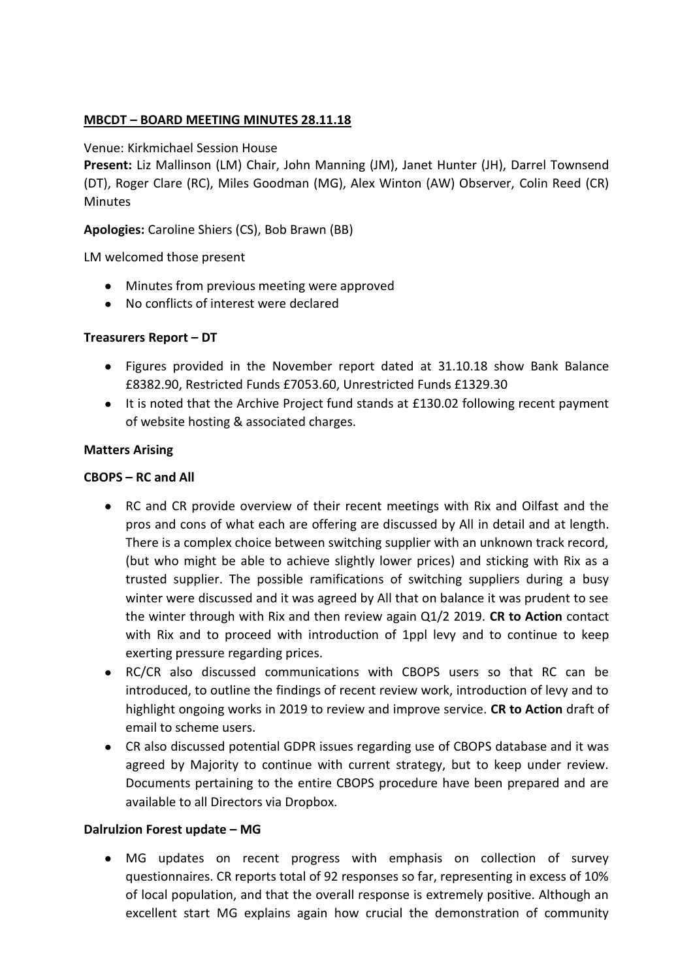# **MBCDT – BOARD MEETING MINUTES 28.11.18**

#### Venue: Kirkmichael Session House

**Present:** Liz Mallinson (LM) Chair, John Manning (JM), Janet Hunter (JH), Darrel Townsend (DT), Roger Clare (RC), Miles Goodman (MG), Alex Winton (AW) Observer, Colin Reed (CR) Minutes

**Apologies:** Caroline Shiers (CS), Bob Brawn (BB)

LM welcomed those present

- Minutes from previous meeting were approved
- No conflicts of interest were declared

#### **Treasurers Report – DT**

- Figures provided in the November report dated at 31.10.18 show Bank Balance £8382.90, Restricted Funds £7053.60, Unrestricted Funds £1329.30
- It is noted that the Archive Project fund stands at £130.02 following recent payment of website hosting & associated charges.

#### **Matters Arising**

#### **CBOPS – RC and All**

- RC and CR provide overview of their recent meetings with Rix and Oilfast and the pros and cons of what each are offering are discussed by All in detail and at length. There is a complex choice between switching supplier with an unknown track record, (but who might be able to achieve slightly lower prices) and sticking with Rix as a trusted supplier. The possible ramifications of switching suppliers during a busy winter were discussed and it was agreed by All that on balance it was prudent to see the winter through with Rix and then review again Q1/2 2019. **CR to Action** contact with Rix and to proceed with introduction of 1ppl levy and to continue to keep exerting pressure regarding prices.
- RC/CR also discussed communications with CBOPS users so that RC can be introduced, to outline the findings of recent review work, introduction of levy and to highlight ongoing works in 2019 to review and improve service. **CR to Action** draft of email to scheme users.
- CR also discussed potential GDPR issues regarding use of CBOPS database and it was agreed by Majority to continue with current strategy, but to keep under review. Documents pertaining to the entire CBOPS procedure have been prepared and are available to all Directors via Dropbox.

#### **Dalrulzion Forest update – MG**

MG updates on recent progress with emphasis on collection of survey questionnaires. CR reports total of 92 responses so far, representing in excess of 10% of local population, and that the overall response is extremely positive. Although an excellent start MG explains again how crucial the demonstration of community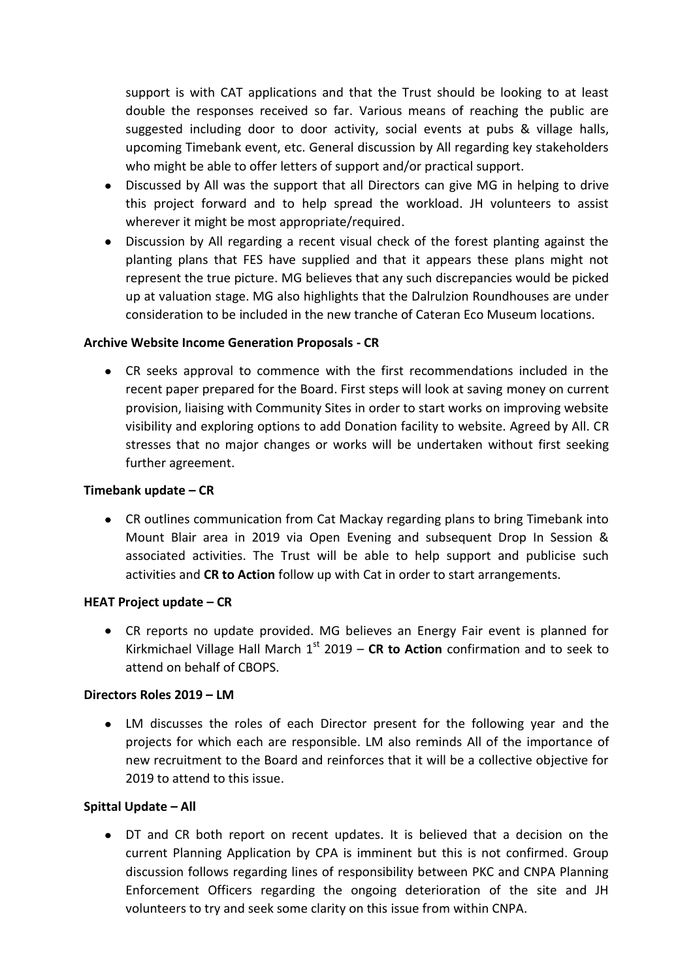support is with CAT applications and that the Trust should be looking to at least double the responses received so far. Various means of reaching the public are suggested including door to door activity, social events at pubs & village halls, upcoming Timebank event, etc. General discussion by All regarding key stakeholders who might be able to offer letters of support and/or practical support.

- Discussed by All was the support that all Directors can give MG in helping to drive this project forward and to help spread the workload. JH volunteers to assist wherever it might be most appropriate/required.
- Discussion by All regarding a recent visual check of the forest planting against the planting plans that FES have supplied and that it appears these plans might not represent the true picture. MG believes that any such discrepancies would be picked up at valuation stage. MG also highlights that the Dalrulzion Roundhouses are under consideration to be included in the new tranche of Cateran Eco Museum locations.

## **Archive Website Income Generation Proposals - CR**

CR seeks approval to commence with the first recommendations included in the recent paper prepared for the Board. First steps will look at saving money on current provision, liaising with Community Sites in order to start works on improving website visibility and exploring options to add Donation facility to website. Agreed by All. CR stresses that no major changes or works will be undertaken without first seeking further agreement.

#### **Timebank update – CR**

CR outlines communication from Cat Mackay regarding plans to bring Timebank into Mount Blair area in 2019 via Open Evening and subsequent Drop In Session & associated activities. The Trust will be able to help support and publicise such activities and **CR to Action** follow up with Cat in order to start arrangements.

#### **HEAT Project update – CR**

CR reports no update provided. MG believes an Energy Fair event is planned for Kirkmichael Village Hall March  $1<sup>st</sup>$  2019 – CR to Action confirmation and to seek to attend on behalf of CBOPS.

#### **Directors Roles 2019 – LM**

LM discusses the roles of each Director present for the following year and the projects for which each are responsible. LM also reminds All of the importance of new recruitment to the Board and reinforces that it will be a collective objective for 2019 to attend to this issue.

#### **Spittal Update – All**

DT and CR both report on recent updates. It is believed that a decision on the current Planning Application by CPA is imminent but this is not confirmed. Group discussion follows regarding lines of responsibility between PKC and CNPA Planning Enforcement Officers regarding the ongoing deterioration of the site and JH volunteers to try and seek some clarity on this issue from within CNPA.